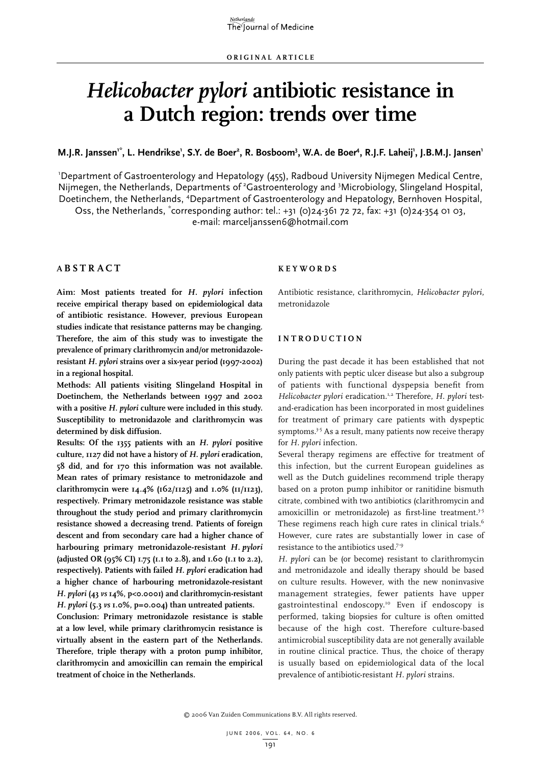# *Helicobacter pylori* **antibiotic resistance in a Dutch region: trends over time**

## M.J.R. Janssen<sup>1\*</sup>, L. Hendrikse<sup>1</sup>, S.Y. de Boer<sup>2</sup>, R. Bosboom<sup>3</sup>, W.A. de Boer<sup>4</sup>, R.J.F. Laheij<sup>1</sup>, J.B.M.J. Jansen<sup>1</sup>

1 Department of Gastroenterology and Hepatology (455), Radboud University Nijmegen Medical Centre, Nijmegen, the Netherlands, Departments of <sup>2</sup>Gastroenterology and <sup>3</sup>Microbiology, Slingeland Hospital, Doetinchem, the Netherlands, <sup>4</sup>Department of Gastroenterology and Hepatology, Bernhoven Hospital,

Oss, the Netherlands, "corresponding author: tel.: +31 (0)24-361 72 72, fax: +31 (0)24-354 01 03, e-mail: marceljanssen6@hotmail.com

## **A b s t r act**

**Aim: Most patients treated for** *H. pylori* **infection receive empirical therapy based on epidemiological data of antibiotic resistance. However, previous European studies indicate that resistance patterns may be changing. Therefore, the aim of this study was to investigate the prevalence of primary clarithromycin and/or metronidazoleresistant** *H. pylori* **strains over a six-year period (1997-2002) in a regional hospital.**

**Methods: All patients visiting Slingeland Hospital in Doetinchem, the Netherlands between 1997 and 2002 with a positive** *H. pylori* **culture were included in this study. Susceptibility to metronidazole and clarithromycin was determined by disk diffusion.**

**Results: Of the 1355 patients with an** *H. pylori* **positive culture, 1127 did not have a history of** *H. pylori* **eradication, 58 did, and for 170 this information was not available. Mean rates of primary resistance to metronidazole and clarithromycin were 14.4% (162/1125) and 1.0% (11/1123), respectively. Primary metronidazole resistance was stable throughout the study period and primary clarithromycin resistance showed a decreasing trend. Patients of foreign descent and from secondary care had a higher chance of harbouring primary metronidazole-resistant** *H. pylori* **(adjusted OR (95% CI) 1.75 (1.1 to 2.8), and 1.60 (1.1 to 2.2), respectively). Patients with failed** *H. pylori* **eradication had a higher chance of harbouring metronidazole-resistant**  *H. pylori* **(43** *vs* **14%, p<0.0001) and clarithromycin-resistant**  *H. pylori* **(5.3** *vs* **1.0%, p=0.004) than untreated patients.**

**Conclusion: Primary metronidazole resistance is stable at a low level, while primary clarithromycin resistance is virtually absent in the eastern part of the Netherlands. Therefore, triple therapy with a proton pump inhibitor, clarithromycin and amoxicillin can remain the empirical treatment of choice in the Netherlands.**

#### **K e y w o r d s**

Antibiotic resistance, clarithromycin, *Helicobacter pylori*, metronidazole

#### **Int r o d u ct i o n**

During the past decade it has been established that not only patients with peptic ulcer disease but also a subgroup of patients with functional dyspepsia benefit from *Helicobacter pylori* eradication.<sup>1,2</sup> Therefore, *H. pylori* testand-eradication has been incorporated in most guidelines for treatment of primary care patients with dyspeptic symptoms.<sup>3-5</sup> As a result, many patients now receive therapy for *H. pylori* infection.

Several therapy regimens are effective for treatment of this infection, but the current European guidelines as well as the Dutch guidelines recommend triple therapy based on a proton pump inhibitor or ranitidine bismuth citrate, combined with two antibiotics (clarithromycin and amoxicillin or metronidazole) as first-line treatment.<sup>3-5</sup> These regimens reach high cure rates in clinical trials.<sup>6</sup> However, cure rates are substantially lower in case of resistance to the antibiotics used.7-9

*H. pylori* can be (or become) resistant to clarithromycin and metronidazole and ideally therapy should be based on culture results. However, with the new noninvasive management strategies, fewer patients have upper gastrointestinal endoscopy.10 Even if endoscopy is performed, taking biopsies for culture is often omitted because of the high cost. Therefore culture-based antimicrobial susceptibility data are not generally available in routine clinical practice. Thus, the choice of therapy is usually based on epidemiological data of the local prevalence of antibiotic-resistant *H. pylori* strains.

© 2006 Van Zuiden Communications B.V. All rights reserved.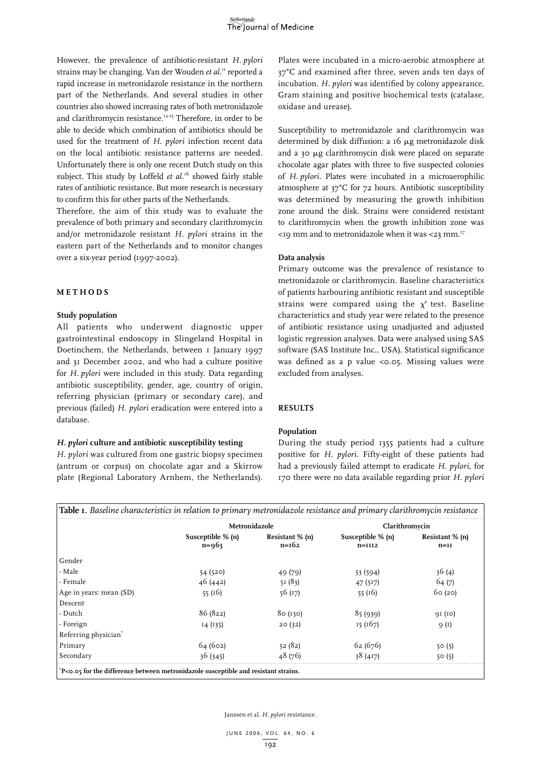However, the prevalence of antibiotic-resistant *H. pylori* strains may be changing. Van der Wouden *et al*. 11 reported a rapid increase in metronidazole resistance in the northern part of the Netherlands. And several studies in other countries also showed increasing rates of both metronidazole and clarithromycin resistance.12-15 Therefore, in order to be able to decide which combination of antibiotics should be used for the treatment of *H. pylori* infection recent data on the local antibiotic resistance patterns are needed. Unfortunately there is only one recent Dutch study on this subject. This study by Loffeld *et al.*<sup>16</sup> showed fairly stable rates of antibiotic resistance. But more research is necessary to confirm this for other parts of the Netherlands.

Therefore, the aim of this study was to evaluate the prevalence of both primary and secondary clarithromycin and/or metronidazole resistant *H. pylori* strains in the eastern part of the Netherlands and to monitor changes over a six-year period (1997-2002).

#### **M et h o d s**

### **Study population**

All patients who underwent diagnostic upper gastrointestinal endoscopy in Slingeland Hospital in Doetinchem, the Netherlands, between 1 January 1997 and 31 December 2002, and who had a culture positive for *H. pylori* were included in this study. Data regarding antibiotic susceptibility, gender, age, country of origin, referring physician (primary or secondary care), and previous (failed) *H. pylori* eradication were entered into a database.

#### *H. pylori* **culture and antibiotic susceptibility testing**

*H. pylori* was cultured from one gastric biopsy specimen (antrum or corpus) on chocolate agar and a Skirrow plate (Regional Laboratory Arnhem, the Netherlands).

Plates were incubated in a micro-aerobic atmosphere at 37°C and examined after three, seven ands ten days of incubation. *H. pylori* was identified by colony appearance, Gram staining and positive biochemical tests (catalase, oxidase and urease).

Susceptibility to metronidazole and clarithromycin was determined by disk diffusion: a 16 µg metronidazole disk and a 30 mg clarithromycin disk were placed on separate chocolate agar plates with three to five suspected colonies of *H. pylori*. Plates were incubated in a microaerophilic atmosphere at 37°C for 72 hours. Antibiotic susceptibility was determined by measuring the growth inhibition zone around the disk. Strains were considered resistant to clarithromycin when the growth inhibition zone was  $<$ 19 mm and to metronidazole when it was  $<$ 23 mm.<sup>17</sup>

### **Data analysis**

Primary outcome was the prevalence of resistance to metronidazole or clarithromycin. Baseline characteristics of patients harbouring antibiotic resistant and susceptible strains were compared using the  $x^2$  test. Baseline characteristics and study year were related to the presence of antibiotic resistance using unadjusted and adjusted logistic regression analyses. Data were analysed using SAS software (SAS Institute Inc., USA). Statistical significance was defined as a p value <0.05. Missing values were excluded from analyses.

### **Results**

### **Population**

During the study period 1355 patients had a culture positive for *H. pylori*. Fifty-eight of these patients had had a previously failed attempt to eradicate *H. pylori*, for 170 there were no data available regarding prior *H. pylori*

| Table I. Baseline characteristics in relation to primary metronidazole resistance and primary clarithromycin resistance |  |  |
|-------------------------------------------------------------------------------------------------------------------------|--|--|
|                                                                                                                         |  |  |

|                                                                                     | Metronidazole                    |                            | Clarithromycin                |                           |
|-------------------------------------------------------------------------------------|----------------------------------|----------------------------|-------------------------------|---------------------------|
|                                                                                     | Susceptible $% (n)$<br>$n = 963$ | Resistant % (n)<br>$n=162$ | Susceptible % (n)<br>$n=1112$ | Resistant % (n)<br>$n=II$ |
| Gender                                                                              |                                  |                            |                               |                           |
| - Male                                                                              | 54 (520)                         | 49 (79)                    | 53 (594)                      | 36(4)                     |
| - Female                                                                            | 46(442)                          | 51(83)                     | 47 (517)                      | 64(7)                     |
| Age in years: mean (SD)                                                             | 55 $(16)$                        | 56(17)                     | 55(16)                        | 60(20)                    |
| Descent                                                                             |                                  |                            |                               |                           |
| - Dutch                                                                             | 86 (822)                         | 80(130)                    | 85(939)                       | 91 (10)                   |
| - Foreign                                                                           | I4(135)                          | 20(32)                     | 15 (167)                      | 9(1)                      |
| Referring physician <sup>*</sup>                                                    |                                  |                            |                               |                           |
| Primary                                                                             | 64 (602)                         | 52(82)                     | 62(676)                       | 50(5)                     |
| Secondary                                                                           | 36(345)                          | 48 (76)                    | 38(417)                       | 50(5)                     |
| *P<0.05 for the difference between metronidazole susceptible and resistant strains. |                                  |                            |                               |                           |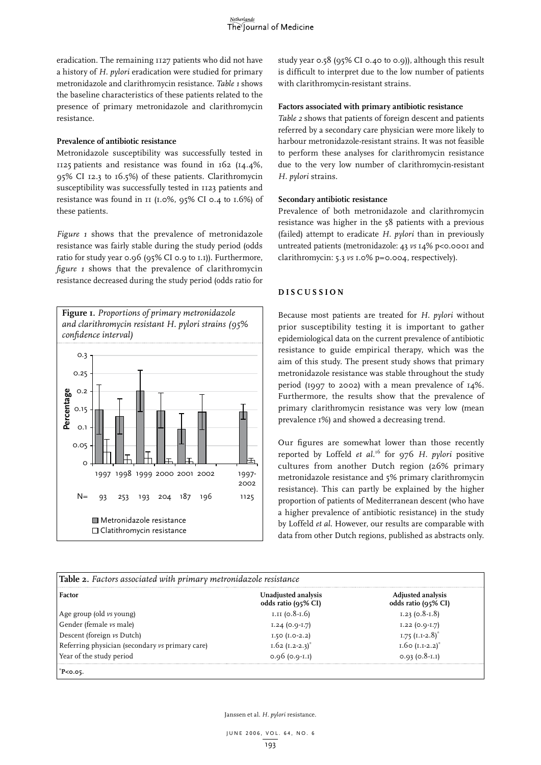eradication. The remaining 1127 patients who did not have a history of *H. pylori* eradication were studied for primary metronidazole and clarithromycin resistance. *Table 1* shows the baseline characteristics of these patients related to the presence of primary metronidazole and clarithromycin resistance.

#### **Prevalence of antibiotic resistance**

Metronidazole susceptibility was successfully tested in 1125 patients and resistance was found in 162 (14.4%, 95% CI 12.3 to 16.5%) of these patients. Clarithromycin susceptibility was successfully tested in 1123 patients and resistance was found in 11 (1.0%, 95% CI 0.4 to 1.6%) of these patients.

*Figure 1* shows that the prevalence of metronidazole resistance was fairly stable during the study period (odds ratio for study year 0.96 (95% CI 0.9 to 1.1)). Furthermore, *figure 1* shows that the prevalence of clarithromycin resistance decreased during the study period (odds ratio for



study year 0.58 (95% CI 0.40 to 0.9)), although this result is difficult to interpret due to the low number of patients with clarithromycin-resistant strains.

#### **Factors associated with primary antibiotic resistance**

*Table 2* shows that patients of foreign descent and patients referred by a secondary care physician were more likely to harbour metronidazole-resistant strains. It was not feasible to perform these analyses for clarithromycin resistance due to the very low number of clarithromycin-resistant *H. pylori* strains.

#### **Secondary antibiotic resistance**

Prevalence of both metronidazole and clarithromycin resistance was higher in the 58 patients with a previous (failed) attempt to eradicate *H. pylori* than in previously untreated patients (metronidazole: 43 *vs* 14% p<0.0001 and clarithromycin: 5.3 *vs* 1.0% p=0.004, respectively).

## **D i s c u s s i o n**

Because most patients are treated for *H. pylori* without prior susceptibility testing it is important to gather epidemiological data on the current prevalence of antibiotic resistance to guide empirical therapy, which was the aim of this study. The present study shows that primary metronidazole resistance was stable throughout the study period (1997 to 2002) with a mean prevalence of 14%. Furthermore, the results show that the prevalence of primary clarithromycin resistance was very low (mean prevalence 1%) and showed a decreasing trend.

Our figures are somewhat lower than those recently reported by Loffeld *et al.*16 for 976 *H. pylori* positive cultures from another Dutch region (26% primary metronidazole resistance and 5% primary clarithromycin resistance). This can partly be explained by the higher proportion of patients of Mediterranean descent (who have a higher prevalence of antibiotic resistance) in the study by Loffeld *et al*. However, our results are comparable with data from other Dutch regions, published as abstracts only.

| Factor                                          | Unadjusted analysis<br>odds ratio (95% CI) | Adjusted analysis<br>odds ratio (95% CI) |
|-------------------------------------------------|--------------------------------------------|------------------------------------------|
| Age group (old vs young)                        | $I.II (0.8-I.6)$                           | $1.23$ (0.8- $1.8$ )                     |
| Gender (female vs male)                         | $1.24(0.9-1.7)$                            | $1.22 (0.9 - 1.7)$                       |
| Descent (foreign vs Dutch)                      | $1.50$ ( $1.0-2.2$ )                       | $1.75$ (I.I-2.8) <sup>*</sup>            |
| Referring physician (secondary vs primary care) | $1.62$ (1.2-2.3) <sup>*</sup>              | 1.60 $(I.I-2.2)^*$                       |
| Year of the study period                        | $0.96$ (0.9 $\cdot$ I.I)                   | $0.93(0.8-I,I)$                          |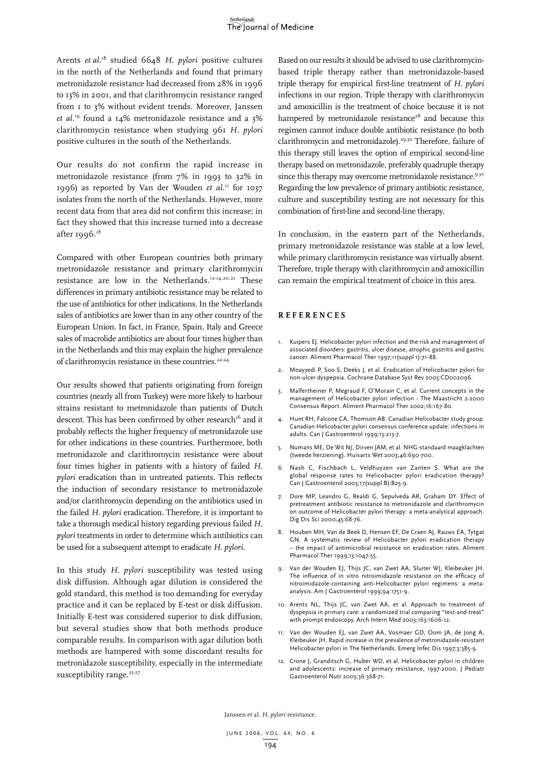#### Netherlands The Journal of Medicine

Arents *et al.*18 studied 6648 *H. pylori* positive cultures in the north of the Netherlands and found that primary metronidazole resistance had decreased from 28% in 1996 to 13% in 2001, and that clarithromycin resistance ranged from 1 to 3% without evident trends. Moreover, Janssen *et al.*19 found a 14% metronidazole resistance and a 3% clarithromycin resistance when studying 961 *H. pylori*  positive cultures in the south of the Netherlands.

Our results do not confirm the rapid increase in metronidazole resistance (from 7% in 1993 to 32% in 1996) as reported by Van der Wouden *et al.*<sup>11</sup> for 1037 isolates from the north of the Netherlands. However, more recent data from that area did not confirm this increase; in fact they showed that this increase turned into a decrease after  $1996.^{18}$ 

Compared with other European countries both primary metronidazole resistance and primary clarithromycin resistance are low in the Netherlands.12-14,20,21 These differences in primary antibiotic resistance may be related to the use of antibiotics for other indications. In the Netherlands sales of antibiotics are lower than in any other country of the European Union. In fact, in France, Spain, Italy and Greece sales of macrolide antibiotics are about four times higher than in the Netherlands and this may explain the higher prevalence of clarithromycin resistance in these countries.<sup>22-24</sup>

Our results showed that patients originating from foreign countries (nearly all from Turkey) were more likely to harbour strains resistant to metronidazole than patients of Dutch descent. This has been confirmed by other research<sup>16</sup> and it probably reflects the higher frequency of metronidazole use for other indications in these countries. Furthermore, both metronidazole and clarithromycin resistance were about four times higher in patients with a history of failed *H. pylori* eradication than in untreated patients. This reflects the induction of secondary resistance to metronidazole and/or clarithromycin depending on the antibiotics used in the failed *H. pylori* eradication. Therefore, it is important to take a thorough medical history regarding previous failed *H. pylori* treatments in order to determine which antibiotics can be used for a subsequent attempt to eradicate *H. pylori*.

In this study *H. pylori* susceptibility was tested using disk diffusion. Although agar dilution is considered the gold standard, this method is too demanding for everyday practice and it can be replaced by E-test or disk diffusion. Initially E-test was considered superior to disk diffusion, but several studies show that both methods produce comparable results. In comparison with agar dilution both methods are hampered with some discordant results for metronidazole susceptibility, especially in the intermediate susceptibility range.<sup>25-27</sup>

Based on our results it should be advised to use clarithromycinbased triple therapy rather than metronidazole-based triple therapy for empirical first-line treatment of *H. pylori* infections in our region. Triple therapy with clarithromycin and amoxicillin is the treatment of choice because it is not hampered by metronidazole resistance<sup>28</sup> and because this regimen cannot induce double antibiotic resistance (to both clarithromycin and metronidazole).<sup>29,30</sup> Therefore, failure of this therapy still leaves the option of empirical second-line therapy based on metronidazole, preferably quadruple therapy since this therapy may overcome metronidazole resistance.<sup>9,30</sup> Regarding the low prevalence of primary antibiotic resistance, culture and susceptibility testing are not necessary for this combination of first-line and second-line therapy.

In conclusion, in the eastern part of the Netherlands, primary metronidazole resistance was stable at a low level, while primary clarithromycin resistance was virtually absent. Therefore, triple therapy with clarithromycin and amoxicillin can remain the empirical treatment of choice in this area.

#### **Re f e r ence s**

- 1. Kuipers EJ. Helicobacter pylori infection and the risk and management of associated disorders: gastritis, ulcer disease, atrophic gastritis and gastric cancer. Aliment Pharmacol Ther 1997;11(suppl 1):71-88.
- 2. Moayyedi P, Soo S, Deeks J, et al. Eradication of Helicobacter pylori for non-ulcer dyspepsia. Cochrane Database Syst Rev 2005:CD002096.
- 3. Malfertheiner P, Megraud F, O'Morain C, et al. Current concepts in the management of Helicobacter pylori infection - The Maastricht 2-2000 Consensus Report. Aliment Pharmacol Ther 2002;16:167-80.
- 4. Hunt RH, Falcone CA, Thomson AB. Canadian Helicobacter study group. Canadian Helicobacter pylori consensus conference update: infections in adults. Can J Gastroenterol 1999;13:213-7.
- 5. Numans ME, De Wit NJ, Dirven JAM, et al. NHG-standaard maagklachten (tweede herziening). Huisarts Wet 2003;46:690-700.
- 6. Nash C, Fischbach L, Veldhuyzen van Zanten S. What are the global response rates to Helicobacter pylori eradication therapy? Can J Gastroenterol 2003;17(suppl B):B25-9.
- 7. Dore MP, Leandro G, Realdi G, Sepulveda AR, Graham DY. Effect of pretreatment antibiotic resistance to metronidazole and clarithromycin on outcome of Helicobacter pylori therapy: a meta-analytical approach. Dig Dis Sci 2000;45:68-76.
- 8. Houben MH, Van de Beek D, Hensen EF, De Craen AJ, Rauws EA, Tytgat GN. A systematic review of Helicobacter pylori eradication therapy – the impact of antimicrobial resistance on eradication rates. Aliment Pharmacol Ther 1999;13:1047-55.
- 9. Van der Wouden EJ, Thijs JC, van Zwet AA, Sluiter WJ, Kleibeuker JH. The influence of in vitro nitroimidazole resistance on the efficacy of nitroimidazole-containing anti-Helicobacter pylori regimens: a metaanalysis. Am J Gastroenterol 1999;94:1751-9.
- 10. Arents NL, Thijs JC, van Zwet AA, et al. Approach to treatment of dyspepsia in primary care: a randomized trial comparing "test-and-treat" with prompt endoscopy. Arch Intern Med 2003;163:1606-12.
- 11. Van der Wouden EJ, van Zwet AA, Vosmaer GD, Oom JA, de Jong A, Kleibeuker JH. Rapid increase in the prevalence of metronidazole-resistant Helicobacter pylori in The Netherlands. Emerg Infec Dis 1997;3:385-9.
- 12. Crone J, Granditsch G, Huber WD, et al. Helicobacter pylori in children and adolescents: increase of primary resistance, 1997-2000. J Pediatr Gastroenterol Nutr 2003;36:368-71.